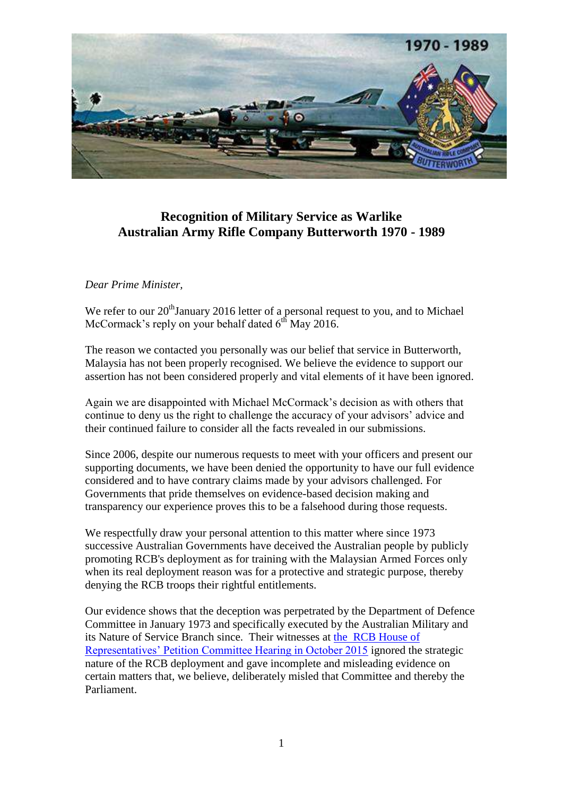

## **Recognition of Military Service as Warlike Australian Army Rifle Company Butterworth 1970 - 1989**

## *Dear Prime Minister,*

We refer to our 20<sup>th</sup>January 2016 letter of a personal request to you, and to Michael McCormack's reply on your behalf dated  $6<sup>th</sup>$  May 2016.

The reason we contacted you personally was our belief that service in Butterworth, Malaysia has not been properly recognised. We believe the evidence to support our assertion has not been considered properly and vital elements of it have been ignored.

Again we are disappointed with Michael McCormack's decision as with others that continue to deny us the right to challenge the accuracy of your advisors' advice and their continued failure to consider all the facts revealed in our submissions.

Since 2006, despite our numerous requests to meet with your officers and present our supporting documents, we have been denied the opportunity to have our full evidence considered and to have contrary claims made by your advisors challenged. For Governments that pride themselves on evidence-based decision making and transparency our experience proves this to be a falsehood during those requests.

We respectfully draw your personal attention to this matter where since 1973 successive Australian Governments have deceived the Australian people by publicly promoting RCB's deployment as for training with the Malaysian Armed Forces only when its real deployment reason was for a protective and strategic purpose, thereby denying the RCB troops their rightful entitlements.

Our evidence shows that the deception was perpetrated by the Department of Defence Committee in January 1973 and specifically executed by the Australian Military and its Nature of Service Branch since. Their witnesses at [the RCB House of](http://www.aph.gov.au/Help/Federated_Search_Results?q=RCB%20Petition%20)  [Representatives' Petition Committee Hearing in October 2015](http://www.aph.gov.au/Help/Federated_Search_Results?q=RCB%20Petition%20) ignored the strategic nature of the RCB deployment and gave incomplete and misleading evidence on certain matters that, we believe, deliberately misled that Committee and thereby the Parliament.